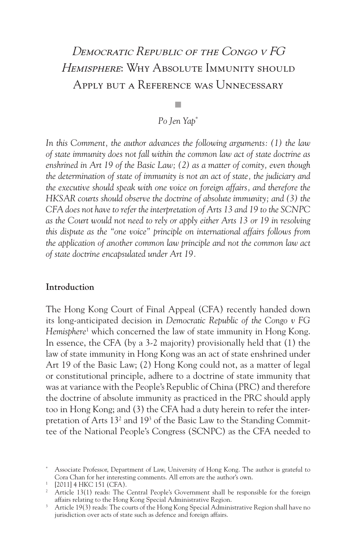# Democratic Republic of the Congo v FG HEMISPHERE: WHY ABSOLUTE IMMUNITY SHOULD Apply but a Reference was Unnecessary

## *Po Jen Yap\**

 $\overline{\phantom{a}}$ 

*In this Comment, the author advances the following arguments: (1) the law of state immunity does not fall within the common law act of state doctrine as enshrined in Art 19 of the Basic Law; (2) as a matter of comity, even though the determination of state of immunity is not an act of state, the judiciary and the executive should speak with one voice on foreign affairs, and therefore the HKSAR courts should observe the doctrine of absolute immunity; and (3) the CFA does not have to refer the interpretation of Arts 13 and 19 to the SCNPC as the Court would not need to rely or apply either Arts 13 or 19 in resolving this dispute as the "one voice" principle on international affairs follows from the application of another common law principle and not the common law act of state doctrine encapsulated under Art 19.* 

### **Introduction**

The Hong Kong Court of Final Appeal (CFA) recently handed down its long-anticipated decision in *Democratic Republic of the Congo v FG Hemisphere*<sup>1</sup> which concerned the law of state immunity in Hong Kong. In essence, the CFA (by a 3-2 majority) provisionally held that (1) the law of state immunity in Hong Kong was an act of state enshrined under Art 19 of the Basic Law; (2) Hong Kong could not, as a matter of legal or constitutional principle, adhere to a doctrine of state immunity that was at variance with the People's Republic of China (PRC) and therefore the doctrine of absolute immunity as practiced in the PRC should apply too in Hong Kong; and (3) the CFA had a duty herein to refer the interpretation of Arts 13<sup>2</sup> and 19<sup>3</sup> of the Basic Law to the Standing Committee of the National People's Congress (SCNPC) as the CFA needed to

<sup>\*</sup> Associate Professor, Department of Law, University of Hong Kong. The author is grateful to Cora Chan for her interesting comments. All errors are the author's own.

<sup>1 [2011] 4</sup> HKC 151 (CFA).

<sup>&</sup>lt;sup>2</sup> Article 13(1) reads: The Central People's Government shall be responsible for the foreign affairs relating to the Hong Kong Special Administrative Region. 3 Article 19(3) reads: The courts of the Hong Kong Special Administrative Region shall have no

jurisdiction over acts of state such as defence and foreign affairs.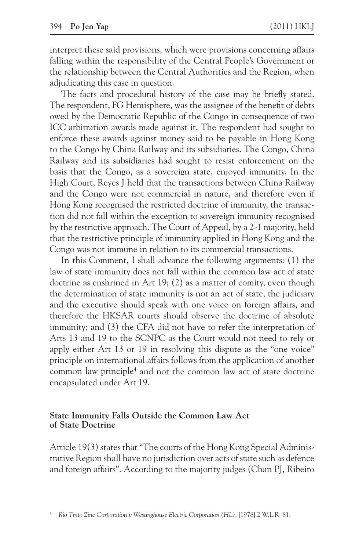interpret these said provisions, which were provisions concerning affairs falling within the responsibility of the Central People's Government or the relationship between the Central Authorities and the Region, when adjudicating this case in question.

The facts and procedural history of the case may be briefly stated. The respondent, FG Hemisphere, was the assignee of the benefit of debts owed by the Democratic Republic of the Congo in consequence of two ICC arbitration awards made against it. The respondent had sought to enforce these awards against money said to be payable in Hong Kong to the Congo by China Railway and its subsidiaries. The Congo, China Railway and its subsidiaries had sought to resist enforcement on the basis that the Congo, as a sovereign state, enjoyed immunity. In the High Court, Reyes J held that the transactions between China Railway and the Congo were not commercial in nature, and therefore even if Hong Kong recognised the restricted doctrine of immunity, the transaction did not fall within the exception to sovereign immunity recognised by the restrictive approach. The Court of Appeal, by a 2-1 majority, held that the restrictive principle of immunity applied in Hong Kong and the Congo was not immune in relation to its commercial transactions.

In this Comment, I shall advance the following arguments: (1) the law of state immunity does not fall within the common law act of state doctrine as enshrined in Art 19; (2) as a matter of comity, even though the determination of state immunity is not an act of state, the judiciary and the executive should speak with one voice on foreign affairs, and therefore the HKSAR courts should observe the doctrine of absolute immunity; and (3) the CFA did not have to refer the interpretation of Arts 13 and 19 to the SCNPC as the Court would not need to rely or apply either Art 13 or 19 in resolving this dispute as the "one voice" principle on international affairs follows from the application of another common law principle4 and not the common law act of state doctrine encapsulated under Art 19.

#### **State Immunity Falls Outside the Common Law Act of State Doctrine**

Article 19(3) states that "The courts of the Hong Kong Special Administrative Region shall have no jurisdiction over acts of state such as defence and foreign affairs". According to the majority judges (Chan PJ, Ribeiro

<sup>4</sup>*Rio Tinto Zinc Corporation v Westinghouse Electric Corporation (HL)*, [1978] 2 W.L.R. 81.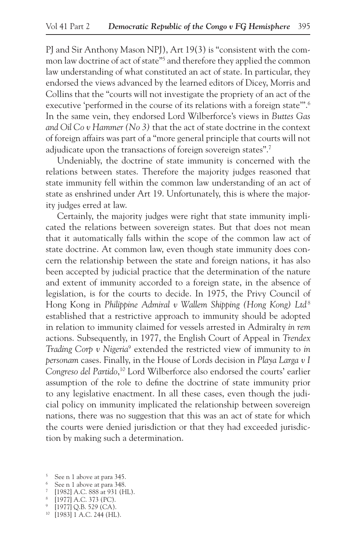PJ and Sir Anthony Mason NPJ), Art 19(3) is "consistent with the common law doctrine of act of state"5 and therefore they applied the common law understanding of what constituted an act of state. In particular, they endorsed the views advanced by the learned editors of Dicey, Morris and Collins that the "courts will not investigate the propriety of an act of the executive 'performed in the course of its relations with a foreign state".<sup>6</sup> In the same vein, they endorsed Lord Wilberforce's views in *Buttes Gas and Oil Co v Hammer (No 3)* that the act of state doctrine in the context of foreign affairs was part of a "more general principle that courts will not adjudicate upon the transactions of foreign sovereign states".<sup>7</sup>

Undeniably, the doctrine of state immunity is concerned with the relations between states. Therefore the majority judges reasoned that state immunity fell within the common law understanding of an act of state as enshrined under Art 19. Unfortunately, this is where the majority judges erred at law.

Certainly, the majority judges were right that state immunity implicated the relations between sovereign states. But that does not mean that it automatically falls within the scope of the common law act of state doctrine. At common law, even though state immunity does concern the relationship between the state and foreign nations, it has also been accepted by judicial practice that the determination of the nature and extent of immunity accorded to a foreign state, in the absence of legislation, is for the courts to decide. In 1975, the Privy Council of Hong Kong in *Philippine Admiral v Wallem Shipping (Hong Kong) Ltd* <sup>8</sup> established that a restrictive approach to immunity should be adopted in relation to immunity claimed for vessels arrested in Admiralty *in rem* actions. Subsequently, in 1977, the English Court of Appeal in *Trendex Trading Corp v Nigeria*<sup>9</sup> extended the restricted view of immunity to *in personam* cases. Finally, in the House of Lords decision in *Playa Larga v I Congreso del Partido*, 10 Lord Wilberforce also endorsed the courts' earlier assumption of the role to define the doctrine of state immunity prior to any legislative enactment. In all these cases, even though the judicial policy on immunity implicated the relationship between sovereign nations, there was no suggestion that this was an act of state for which the courts were denied jurisdiction or that they had exceeded jurisdiction by making such a determination.

<sup>&</sup>lt;sup>5</sup> See n 1 above at para 345.<br><sup>6</sup> See n 1 above at para 348.

<sup>&</sup>lt;sup>7</sup> [1982] A.C. 888 at 931 (HL).<br><sup>8</sup> [1977] A.C. 373 (PC).

<sup>&</sup>lt;sup>9</sup> [1977] Q.B. 529 (CA).

<sup>10 [1983] 1</sup> A.C. 244 (HL).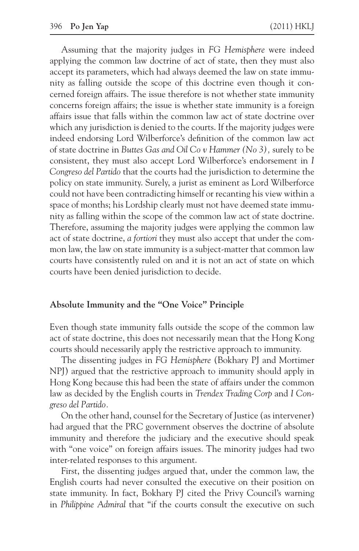Assuming that the majority judges in *FG Hemisphere* were indeed applying the common law doctrine of act of state, then they must also accept its parameters, which had always deemed the law on state immunity as falling outside the scope of this doctrine even though it concerned foreign affairs. The issue therefore is not whether state immunity concerns foreign affairs; the issue is whether state immunity is a foreign affairs issue that falls within the common law act of state doctrine over which any jurisdiction is denied to the courts. If the majority judges were indeed endorsing Lord Wilberforce's definition of the common law act of state doctrine in *Buttes Gas and Oil Co v Hammer (No 3),* surely to be consistent, they must also accept Lord Wilberforce's endorsement in *I Congreso del Partido* that the courts had the jurisdiction to determine the policy on state immunity. Surely, a jurist as eminent as Lord Wilberforce could not have been contradicting himself or recanting his view within a space of months; his Lordship clearly must not have deemed state immunity as falling within the scope of the common law act of state doctrine. Therefore, assuming the majority judges were applying the common law act of state doctrine, *a fortiori* they must also accept that under the common law, the law on state immunity is a subject-matter that common law courts have consistently ruled on and it is not an act of state on which courts have been denied jurisdiction to decide.

#### **Absolute Immunity and the "One Voice" Principle**

Even though state immunity falls outside the scope of the common law act of state doctrine, this does not necessarily mean that the Hong Kong courts should necessarily apply the restrictive approach to immunity.

The dissenting judges in *FG Hemisphere* (Bokhary PJ and Mortimer NPJ) argued that the restrictive approach to immunity should apply in Hong Kong because this had been the state of affairs under the common law as decided by the English courts in *Trendex Trading Corp* and *I Congreso del Partido.*

On the other hand, counsel for the Secretary of Justice (as intervener) had argued that the PRC government observes the doctrine of absolute immunity and therefore the judiciary and the executive should speak with "one voice" on foreign affairs issues. The minority judges had two inter-related responses to this argument.

First, the dissenting judges argued that, under the common law, the English courts had never consulted the executive on their position on state immunity. In fact, Bokhary PJ cited the Privy Council's warning in *Philippine Admiral* that "if the courts consult the executive on such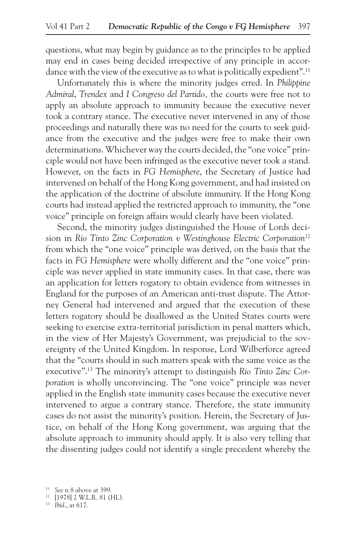questions, what may begin by guidance as to the principles to be applied may end in cases being decided irrespective of any principle in accordance with the view of the executive as to what is politically expedient".<sup>11</sup>

Unfortunately this is where the minority judges erred. In *Philippine Admiral*, *Trendex* and *I Congreso del Partido,* the courts were free not to apply an absolute approach to immunity because the executive never took a contrary stance. The executive never intervened in any of those proceedings and naturally there was no need for the courts to seek guidance from the executive and the judges were free to make their own determinations. Whichever way the courts decided, the "one voice" principle would not have been infringed as the executive never took a stand. However, on the facts in *FG Hemisphere*, the Secretary of Justice had intervened on behalf of the Hong Kong government, and had insisted on the application of the doctrine of absolute immunity. If the Hong Kong courts had instead applied the restricted approach to immunity, the "one voice" principle on foreign affairs would clearly have been violated.

Second, the minority judges distinguished the House of Lords decision in *Rio Tinto Zinc Corporation v Westinghouse Electric Corporation*<sup>12</sup> from which the "one voice" principle was derived, on the basis that the facts in *FG Hemisphere* were wholly different and the "one voice" principle was never applied in state immunity cases. In that case, there was an application for letters rogatory to obtain evidence from witnesses in England for the purposes of an American anti-trust dispute. The Attorney General had intervened and argued that the execution of these letters rogatory should be disallowed as the United States courts were seeking to exercise extra-territorial jurisdiction in penal matters which, in the view of Her Majesty's Government, was prejudicial to the sovereignty of the United Kingdom. In response, Lord Wilberforce agreed that the "courts should in such matters speak with the same voice as the executive".13 The minority's attempt to distinguish *Rio Tinto Zinc Corporation* is wholly unconvincing. The "one voice" principle was never applied in the English state immunity cases because the executive never intervened to argue a contrary stance. Therefore, the state immunity cases do not assist the minority's position. Herein, the Secretary of Justice, on behalf of the Hong Kong government, was arguing that the absolute approach to immunity should apply. It is also very telling that the dissenting judges could not identify a single precedent whereby the

<sup>11</sup>*See* n 8 above at 399. 12 [1978] 2 W.L.R. 81 (HL).

<sup>13</sup>*Ibid*., at 617.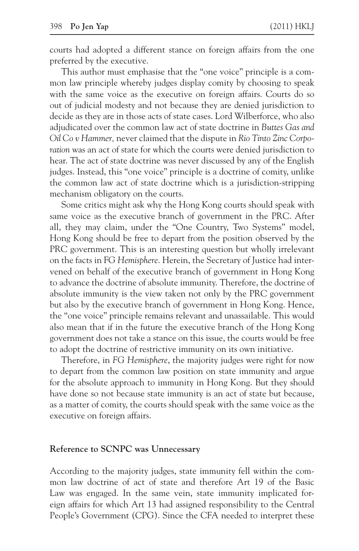courts had adopted a different stance on foreign affairs from the one preferred by the executive.

This author must emphasise that the "one voice" principle is a common law principle whereby judges display comity by choosing to speak with the same voice as the executive on foreign affairs. Courts do so out of judicial modesty and not because they are denied jurisdiction to decide as they are in those acts of state cases. Lord Wilberforce, who also adjudicated over the common law act of state doctrine in *Buttes Gas and Oil Co v Hammer,* never claimed that the dispute in *Rio Tinto Zinc Corporation* was an act of state for which the courts were denied jurisdiction to hear. The act of state doctrine was never discussed by any of the English judges. Instead, this "one voice" principle is a doctrine of comity, unlike the common law act of state doctrine which is a jurisdiction-stripping mechanism obligatory on the courts.

Some critics might ask why the Hong Kong courts should speak with same voice as the executive branch of government in the PRC. After all, they may claim, under the "One Country, Two Systems" model, Hong Kong should be free to depart from the position observed by the PRC government. This is an interesting question but wholly irrelevant on the facts in FG *Hemisphere*. Herein, the Secretary of Justice had intervened on behalf of the executive branch of government in Hong Kong to advance the doctrine of absolute immunity. Therefore, the doctrine of absolute immunity is the view taken not only by the PRC government but also by the executive branch of government in Hong Kong. Hence, the "one voice" principle remains relevant and unassailable. This would also mean that if in the future the executive branch of the Hong Kong government does not take a stance on this issue, the courts would be free to adopt the doctrine of restrictive immunity on its own initiative.

Therefore, in *FG Hemisphere*, the majority judges were right for now to depart from the common law position on state immunity and argue for the absolute approach to immunity in Hong Kong. But they should have done so not because state immunity is an act of state but because, as a matter of comity, the courts should speak with the same voice as the executive on foreign affairs.

#### **Reference to SCNPC was Unnecessary**

According to the majority judges, state immunity fell within the common law doctrine of act of state and therefore Art 19 of the Basic Law was engaged. In the same vein, state immunity implicated foreign affairs for which Art 13 had assigned responsibility to the Central People's Government (CPG). Since the CFA needed to interpret these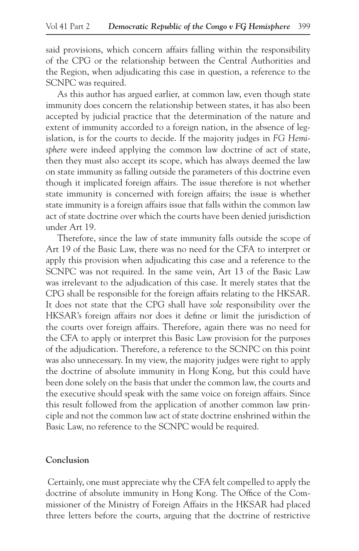said provisions, which concern affairs falling within the responsibility of the CPG or the relationship between the Central Authorities and the Region, when adjudicating this case in question, a reference to the SCNPC was required.

As this author has argued earlier, at common law, even though state immunity does concern the relationship between states, it has also been accepted by judicial practice that the determination of the nature and extent of immunity accorded to a foreign nation, in the absence of legislation, is for the courts to decide. If the majority judges in *FG Hemisphere* were indeed applying the common law doctrine of act of state, then they must also accept its scope, which has always deemed the law on state immunity as falling outside the parameters of this doctrine even though it implicated foreign affairs. The issue therefore is not whether state immunity is concerned with foreign affairs; the issue is whether state immunity is a foreign affairs issue that falls within the common law act of state doctrine over which the courts have been denied jurisdiction under Art 19.

Therefore, since the law of state immunity falls outside the scope of Art 19 of the Basic Law, there was no need for the CFA to interpret or apply this provision when adjudicating this case and a reference to the SCNPC was not required. In the same vein, Art 13 of the Basic Law was irrelevant to the adjudication of this case. It merely states that the CPG shall be responsible for the foreign affairs relating to the HKSAR. It does not state that the CPG shall have *sole* responsibility over the HKSAR's foreign affairs nor does it define or limit the jurisdiction of the courts over foreign affairs. Therefore, again there was no need for the CFA to apply or interpret this Basic Law provision for the purposes of the adjudication. Therefore, a reference to the SCNPC on this point was also unnecessary. In my view, the majority judges were right to apply the doctrine of absolute immunity in Hong Kong, but this could have been done solely on the basis that under the common law, the courts and the executive should speak with the same voice on foreign affairs. Since this result followed from the application of another common law principle and not the common law act of state doctrine enshrined within the Basic Law, no reference to the SCNPC would be required.

#### **Conclusion**

 Certainly, one must appreciate why the CFA felt compelled to apply the doctrine of absolute immunity in Hong Kong. The Office of the Commissioner of the Ministry of Foreign Affairs in the HKSAR had placed three letters before the courts, arguing that the doctrine of restrictive